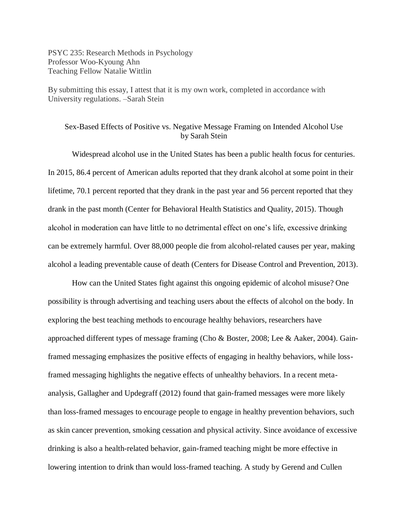PSYC 235: Research Methods in Psychology Professor Woo-Kyoung Ahn Teaching Fellow Natalie Wittlin

By submitting this essay, I attest that it is my own work, completed in accordance with University regulations. –Sarah Stein

# Sex-Based Effects of Positive vs. Negative Message Framing on Intended Alcohol Use by Sarah Stein

Widespread alcohol use in the United States has been a public health focus for centuries. In 2015, 86.4 percent of American adults reported that they drank alcohol at some point in their lifetime, 70.1 percent reported that they drank in the past year and 56 percent reported that they drank in the past month (Center for Behavioral Health Statistics and Quality, 2015). Though alcohol in moderation can have little to no detrimental effect on one's life, excessive drinking can be extremely harmful. Over 88,000 people die from alcohol-related causes per year, making alcohol a leading preventable cause of death (Centers for Disease Control and Prevention, 2013).

How can the United States fight against this ongoing epidemic of alcohol misuse? One possibility is through advertising and teaching users about the effects of alcohol on the body. In exploring the best teaching methods to encourage healthy behaviors, researchers have approached different types of message framing (Cho & Boster, 2008; Lee & Aaker, 2004). Gainframed messaging emphasizes the positive effects of engaging in healthy behaviors, while lossframed messaging highlights the negative effects of unhealthy behaviors. In a recent metaanalysis, Gallagher and Updegraff (2012) found that gain-framed messages were more likely than loss-framed messages to encourage people to engage in healthy prevention behaviors, such as skin cancer prevention, smoking cessation and physical activity. Since avoidance of excessive drinking is also a health-related behavior, gain-framed teaching might be more effective in lowering intention to drink than would loss-framed teaching. A study by Gerend and Cullen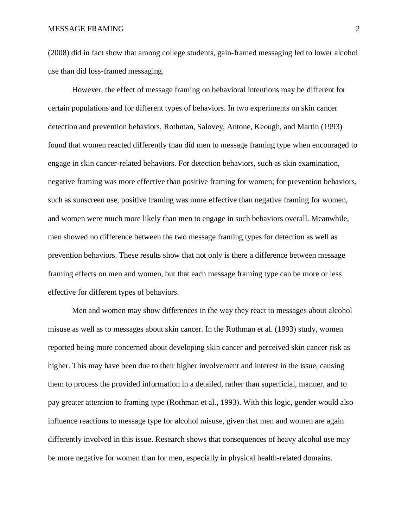## MESSAGE FRAMING 2

(2008) did in fact show that among college students, gain-framed messaging led to lower alcohol use than did loss-framed messaging.

However, the effect of message framing on behavioral intentions may be different for certain populations and for different types of behaviors. In two experiments on skin cancer detection and prevention behaviors, Rothman, Salovey, Antone, Keough, and Martin (1993) found that women reacted differently than did men to message framing type when encouraged to engage in skin cancer-related behaviors. For detection behaviors, such as skin examination, negative framing was more effective than positive framing for women; for prevention behaviors, such as sunscreen use, positive framing was more effective than negative framing for women, and women were much more likely than men to engage in such behaviors overall. Meanwhile, men showed no difference between the two message framing types for detection as well as prevention behaviors. These results show that not only is there a difference between message framing effects on men and women, but that each message framing type can be more or less effective for different types of behaviors.

Men and women may show differences in the way they react to messages about alcohol misuse as well as to messages about skin cancer. In the Rothman et al. (1993) study, women reported being more concerned about developing skin cancer and perceived skin cancer risk as higher. This may have been due to their higher involvement and interest in the issue, causing them to process the provided information in a detailed, rather than superficial, manner, and to pay greater attention to framing type (Rothman et al., 1993). With this logic, gender would also influence reactions to message type for alcohol misuse, given that men and women are again differently involved in this issue. Research shows that consequences of heavy alcohol use may be more negative for women than for men, especially in physical health-related domains.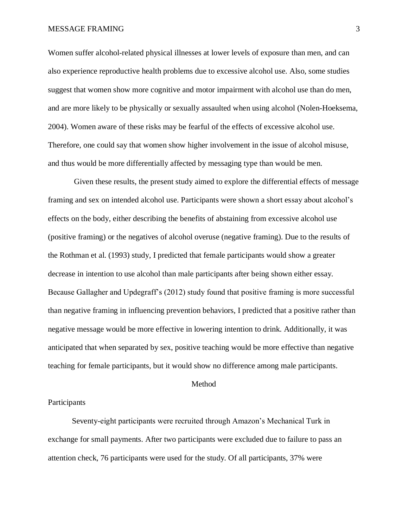## MESSAGE FRAMING 3

Women suffer alcohol-related physical illnesses at lower levels of exposure than men, and can also experience reproductive health problems due to excessive alcohol use. Also, some studies suggest that women show more cognitive and motor impairment with alcohol use than do men, and are more likely to be physically or sexually assaulted when using alcohol (Nolen-Hoeksema, 2004). Women aware of these risks may be fearful of the effects of excessive alcohol use. Therefore, one could say that women show higher involvement in the issue of alcohol misuse, and thus would be more differentially affected by messaging type than would be men.

Given these results, the present study aimed to explore the differential effects of message framing and sex on intended alcohol use. Participants were shown a short essay about alcohol's effects on the body, either describing the benefits of abstaining from excessive alcohol use (positive framing) or the negatives of alcohol overuse (negative framing). Due to the results of the Rothman et al. (1993) study, I predicted that female participants would show a greater decrease in intention to use alcohol than male participants after being shown either essay. Because Gallagher and Updegraff's (2012) study found that positive framing is more successful than negative framing in influencing prevention behaviors, I predicted that a positive rather than negative message would be more effective in lowering intention to drink. Additionally, it was anticipated that when separated by sex, positive teaching would be more effective than negative teaching for female participants, but it would show no difference among male participants.

### Method

## Participants

Seventy-eight participants were recruited through Amazon's Mechanical Turk in exchange for small payments. After two participants were excluded due to failure to pass an attention check, 76 participants were used for the study. Of all participants, 37% were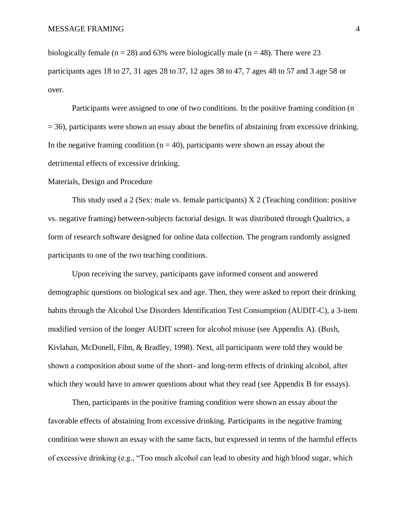biologically female ( $n = 28$ ) and 63% were biologically male ( $n = 48$ ). There were 23 participants ages 18 to 27, 31 ages 28 to 37, 12 ages 38 to 47, 7 ages 48 to 57 and 3 age 58 or over.

Participants were assigned to one of two conditions. In the positive framing condition (n  $= 36$ ), participants were shown an essay about the benefits of abstaining from excessive drinking. In the negative framing condition ( $n = 40$ ), participants were shown an essay about the detrimental effects of excessive drinking.

## Materials, Design and Procedure

This study used a 2 (Sex: male vs. female participants)  $X$  2 (Teaching condition: positive vs. negative framing) between-subjects factorial design. It was distributed through Qualtrics, a form of research software designed for online data collection. The program randomly assigned participants to one of the two teaching conditions.

Upon receiving the survey, participants gave informed consent and answered demographic questions on biological sex and age. Then, they were asked to report their drinking habits through the Alcohol Use Disorders Identification Test Consumption (AUDIT-C), a 3-item modified version of the longer AUDIT screen for alcohol misuse (see Appendix A). (Bush, Kivlahan, McDonell, Fihn, & Bradley, 1998). Next, all participants were told they would be shown a composition about some of the short- and long-term effects of drinking alcohol, after which they would have to answer questions about what they read (see Appendix B for essays).

Then, participants in the positive framing condition were shown an essay about the favorable effects of abstaining from excessive drinking. Participants in the negative framing condition were shown an essay with the same facts, but expressed in terms of the harmful effects of excessive drinking (e.g., "Too much alcohol can lead to obesity and high blood sugar, which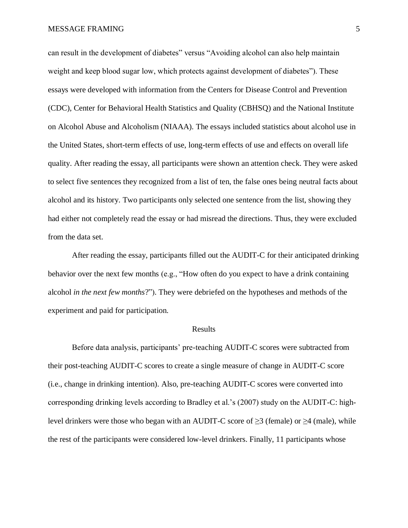MESSAGE FRAMING 5

can result in the development of diabetes" versus "Avoiding alcohol can also help maintain weight and keep blood sugar low, which protects against development of diabetes"). These essays were developed with information from the Centers for Disease Control and Prevention (CDC), Center for Behavioral Health Statistics and Quality (CBHSQ) and the National Institute on Alcohol Abuse and Alcoholism (NIAAA). The essays included statistics about alcohol use in the United States, short-term effects of use, long-term effects of use and effects on overall life quality. After reading the essay, all participants were shown an attention check. They were asked to select five sentences they recognized from a list of ten, the false ones being neutral facts about alcohol and its history. Two participants only selected one sentence from the list, showing they had either not completely read the essay or had misread the directions. Thus, they were excluded from the data set.

After reading the essay, participants filled out the AUDIT-C for their anticipated drinking behavior over the next few months (e.g., "How often do you expect to have a drink containing alcohol *in the next few months*?"). They were debriefed on the hypotheses and methods of the experiment and paid for participation.

#### Results

Before data analysis, participants' pre-teaching AUDIT-C scores were subtracted from their post-teaching AUDIT-C scores to create a single measure of change in AUDIT-C score (i.e., change in drinking intention). Also, pre-teaching AUDIT-C scores were converted into corresponding drinking levels according to Bradley et al.'s (2007) study on the AUDIT-C: highlevel drinkers were those who began with an AUDIT-C score of  $\geq$ 3 (female) or  $\geq$ 4 (male), while the rest of the participants were considered low-level drinkers. Finally, 11 participants whose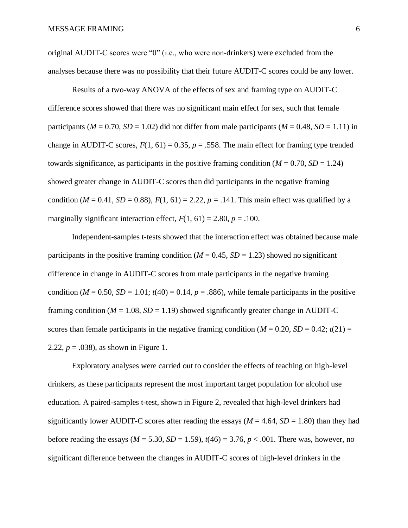original AUDIT-C scores were "0" (i.e., who were non-drinkers) were excluded from the analyses because there was no possibility that their future AUDIT-C scores could be any lower.

Results of a two-way ANOVA of the effects of sex and framing type on AUDIT-C difference scores showed that there was no significant main effect for sex, such that female participants ( $M = 0.70$ ,  $SD = 1.02$ ) did not differ from male participants ( $M = 0.48$ ,  $SD = 1.11$ ) in change in AUDIT-C scores,  $F(1, 61) = 0.35$ ,  $p = .558$ . The main effect for framing type trended towards significance, as participants in the positive framing condition  $(M = 0.70, SD = 1.24)$ showed greater change in AUDIT-C scores than did participants in the negative framing condition ( $M = 0.41$ ,  $SD = 0.88$ ),  $F(1, 61) = 2.22$ ,  $p = .141$ . This main effect was qualified by a marginally significant interaction effect,  $F(1, 61) = 2.80$ ,  $p = .100$ .

Independent-samples t-tests showed that the interaction effect was obtained because male participants in the positive framing condition ( $M = 0.45$ ,  $SD = 1.23$ ) showed no significant difference in change in AUDIT-C scores from male participants in the negative framing condition ( $M = 0.50$ ,  $SD = 1.01$ ;  $t(40) = 0.14$ ,  $p = .886$ ), while female participants in the positive framing condition ( $M = 1.08$ ,  $SD = 1.19$ ) showed significantly greater change in AUDIT-C scores than female participants in the negative framing condition ( $M = 0.20$ ,  $SD = 0.42$ ;  $t(21) =$ 2.22,  $p = .038$ ), as shown in Figure 1.

Exploratory analyses were carried out to consider the effects of teaching on high-level drinkers, as these participants represent the most important target population for alcohol use education. A paired-samples t-test, shown in Figure 2, revealed that high-level drinkers had significantly lower AUDIT-C scores after reading the essays ( $M = 4.64$ ,  $SD = 1.80$ ) than they had before reading the essays ( $M = 5.30$ ,  $SD = 1.59$ ),  $t(46) = 3.76$ ,  $p < .001$ . There was, however, no significant difference between the changes in AUDIT-C scores of high-level drinkers in the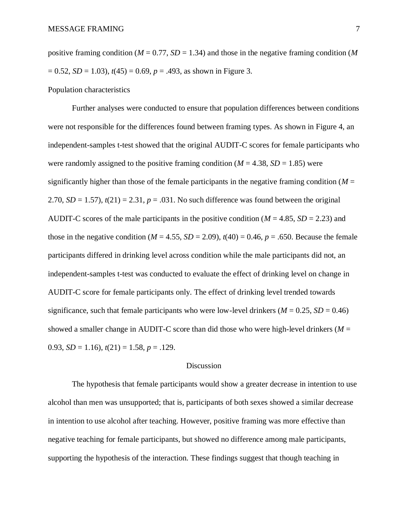positive framing condition ( $M = 0.77$ ,  $SD = 1.34$ ) and those in the negative framing condition (M)  $= 0.52$ , *SD* = 1.03),  $t(45) = 0.69$ ,  $p = .493$ , as shown in Figure 3.

## Population characteristics

Further analyses were conducted to ensure that population differences between conditions were not responsible for the differences found between framing types. As shown in Figure 4, an independent-samples t-test showed that the original AUDIT-C scores for female participants who were randomly assigned to the positive framing condition  $(M = 4.38, SD = 1.85)$  were significantly higher than those of the female participants in the negative framing condition  $(M =$ 2.70,  $SD = 1.57$ ),  $t(21) = 2.31$ ,  $p = .031$ . No such difference was found between the original AUDIT-C scores of the male participants in the positive condition ( $M = 4.85$ ,  $SD = 2.23$ ) and those in the negative condition ( $M = 4.55$ ,  $SD = 2.09$ ),  $t(40) = 0.46$ ,  $p = .650$ . Because the female participants differed in drinking level across condition while the male participants did not, an independent-samples t-test was conducted to evaluate the effect of drinking level on change in AUDIT-C score for female participants only. The effect of drinking level trended towards significance, such that female participants who were low-level drinkers ( $M = 0.25$ ,  $SD = 0.46$ ) showed a smaller change in AUDIT-C score than did those who were high-level drinkers ( $M =$ 0.93,  $SD = 1.16$ ),  $t(21) = 1.58$ ,  $p = .129$ .

#### Discussion

The hypothesis that female participants would show a greater decrease in intention to use alcohol than men was unsupported; that is, participants of both sexes showed a similar decrease in intention to use alcohol after teaching. However, positive framing was more effective than negative teaching for female participants, but showed no difference among male participants, supporting the hypothesis of the interaction. These findings suggest that though teaching in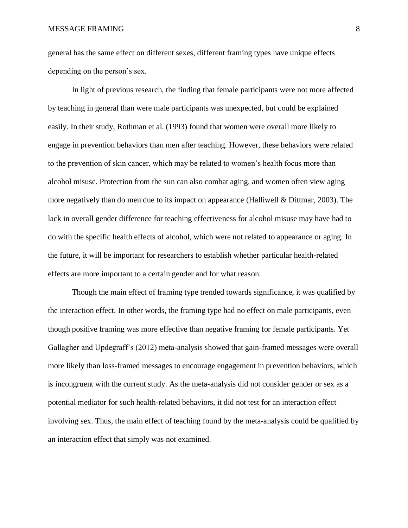general has the same effect on different sexes, different framing types have unique effects depending on the person's sex.

In light of previous research, the finding that female participants were not more affected by teaching in general than were male participants was unexpected, but could be explained easily. In their study, Rothman et al. (1993) found that women were overall more likely to engage in prevention behaviors than men after teaching. However, these behaviors were related to the prevention of skin cancer, which may be related to women's health focus more than alcohol misuse. Protection from the sun can also combat aging, and women often view aging more negatively than do men due to its impact on appearance (Halliwell & Dittmar, 2003). The lack in overall gender difference for teaching effectiveness for alcohol misuse may have had to do with the specific health effects of alcohol, which were not related to appearance or aging. In the future, it will be important for researchers to establish whether particular health-related effects are more important to a certain gender and for what reason.

Though the main effect of framing type trended towards significance, it was qualified by the interaction effect. In other words, the framing type had no effect on male participants, even though positive framing was more effective than negative framing for female participants. Yet Gallagher and Updegraff's (2012) meta-analysis showed that gain-framed messages were overall more likely than loss-framed messages to encourage engagement in prevention behaviors, which is incongruent with the current study. As the meta-analysis did not consider gender or sex as a potential mediator for such health-related behaviors, it did not test for an interaction effect involving sex. Thus, the main effect of teaching found by the meta-analysis could be qualified by an interaction effect that simply was not examined.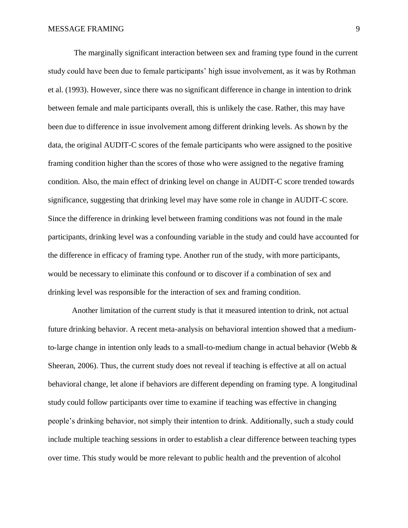The marginally significant interaction between sex and framing type found in the current study could have been due to female participants' high issue involvement, as it was by Rothman et al. (1993). However, since there was no significant difference in change in intention to drink between female and male participants overall, this is unlikely the case. Rather, this may have been due to difference in issue involvement among different drinking levels. As shown by the data, the original AUDIT-C scores of the female participants who were assigned to the positive framing condition higher than the scores of those who were assigned to the negative framing condition. Also, the main effect of drinking level on change in AUDIT-C score trended towards significance, suggesting that drinking level may have some role in change in AUDIT-C score. Since the difference in drinking level between framing conditions was not found in the male participants, drinking level was a confounding variable in the study and could have accounted for the difference in efficacy of framing type. Another run of the study, with more participants, would be necessary to eliminate this confound or to discover if a combination of sex and drinking level was responsible for the interaction of sex and framing condition.

Another limitation of the current study is that it measured intention to drink, not actual future drinking behavior. A recent meta-analysis on behavioral intention showed that a mediumto-large change in intention only leads to a small-to-medium change in actual behavior (Webb & Sheeran, 2006). Thus, the current study does not reveal if teaching is effective at all on actual behavioral change, let alone if behaviors are different depending on framing type. A longitudinal study could follow participants over time to examine if teaching was effective in changing people's drinking behavior, not simply their intention to drink. Additionally, such a study could include multiple teaching sessions in order to establish a clear difference between teaching types over time. This study would be more relevant to public health and the prevention of alcohol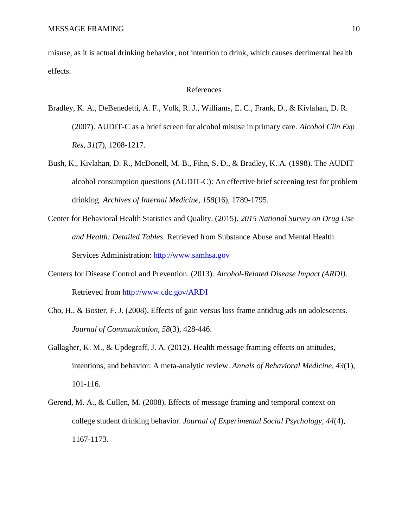misuse, as it is actual drinking behavior, not intention to drink, which causes detrimental health effects.

### References

- Bradley, K. A., DeBenedetti, A. F., Volk, R. J., Williams, E. C., Frank, D., & Kivlahan, D. R. (2007). AUDIT-C as a brief screen for alcohol misuse in primary care. *Alcohol Clin Exp Res, 31*(7), 1208-1217.
- Bush, K., Kivlahan, D. R., McDonell, M. B., Fihn, S. D., & Bradley, K. A. (1998). The AUDIT alcohol consumption questions (AUDIT-C): An effective brief screening test for problem drinking. *Archives of Internal Medicine, 158*(16), 1789-1795.
- Center for Behavioral Health Statistics and Quality. (2015). *2015 National Survey on Drug Use and Health: Detailed Tables*. Retrieved from Substance Abuse and Mental Health Services Administration: [http://www.samhsa.gov](http://www.samhsa.gov/)
- Centers for Disease Control and Prevention. (2013). *Alcohol-Related Disease Impact (ARDI)*. Retrieved from <http://www.cdc.gov/ARDI>
- Cho, H., & Boster, F. J. (2008). Effects of gain versus loss frame antidrug ads on adolescents. *Journal of Communication, 58*(3), 428-446.
- Gallagher, K. M., & Updegraff, J. A. (2012). Health message framing effects on attitudes, intentions, and behavior: A meta-analytic review. *Annals of Behavioral Medicine, 43*(1), 101-116.
- Gerend, M. A., & Cullen, M. (2008). Effects of message framing and temporal context on college student drinking behavior. *Journal of Experimental Social Psychology, 44*(4), 1167-1173.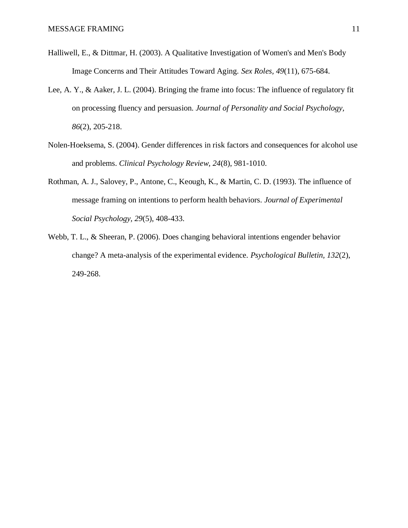- Halliwell, E., & Dittmar, H. (2003). A Qualitative Investigation of Women's and Men's Body Image Concerns and Their Attitudes Toward Aging. *Sex Roles, 49*(11), 675-684.
- Lee, A. Y., & Aaker, J. L. (2004). Bringing the frame into focus: The influence of regulatory fit on processing fluency and persuasion. *Journal of Personality and Social Psychology, 86*(2), 205-218.
- Nolen-Hoeksema, S. (2004). Gender differences in risk factors and consequences for alcohol use and problems. *Clinical Psychology Review, 24*(8), 981-1010.
- Rothman, A. J., Salovey, P., Antone, C., Keough, K., & Martin, C. D. (1993). The influence of message framing on intentions to perform health behaviors. *Journal of Experimental Social Psychology, 29*(5), 408-433.
- Webb, T. L., & Sheeran, P. (2006). Does changing behavioral intentions engender behavior change? A meta-analysis of the experimental evidence. *Psychological Bulletin, 132*(2), 249-268.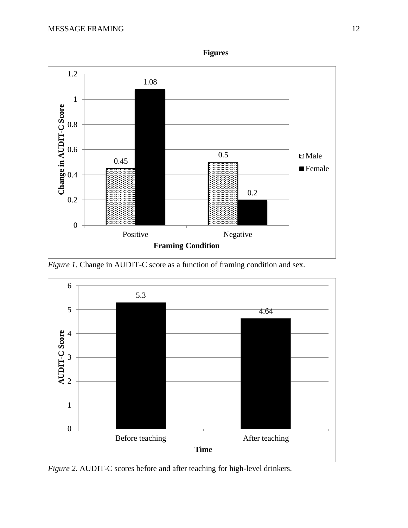

*Figure 1.* Change in AUDIT-C score as a function of framing condition and sex.



*Figure 2.* AUDIT-C scores before and after teaching for high-level drinkers.

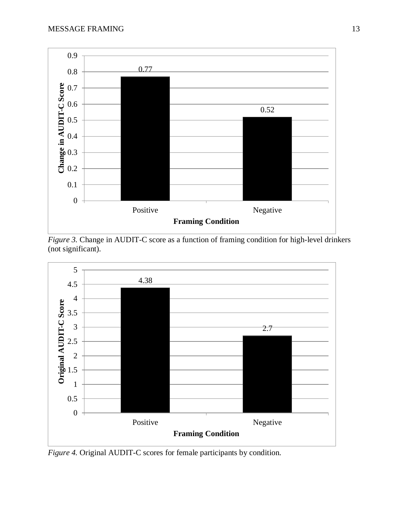

*Figure 3.* Change in AUDIT-C score as a function of framing condition for high-level drinkers (not significant).



*Figure 4.* Original AUDIT-C scores for female participants by condition.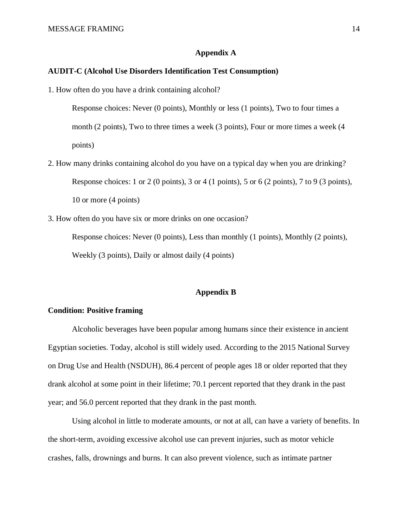## **Appendix A**

## **AUDIT-C (Alcohol Use Disorders Identification Test Consumption)**

1. How often do you have a drink containing alcohol?

Response choices: Never (0 points), Monthly or less (1 points), Two to four times a month (2 points), Two to three times a week (3 points), Four or more times a week (4 points)

- 2. How many drinks containing alcohol do you have on a typical day when you are drinking? Response choices: 1 or 2 (0 points), 3 or 4 (1 points), 5 or 6 (2 points), 7 to 9 (3 points), 10 or more (4 points)
- 3. How often do you have six or more drinks on one occasion?

Response choices: Never (0 points), Less than monthly (1 points), Monthly (2 points), Weekly (3 points), Daily or almost daily (4 points)

## **Appendix B**

## **Condition: Positive framing**

Alcoholic beverages have been popular among humans since their existence in ancient Egyptian societies. Today, alcohol is still widely used. According to the 2015 National Survey on Drug Use and Health (NSDUH), 86.4 percent of people ages 18 or older reported that they drank alcohol at some point in their lifetime; 70.1 percent reported that they drank in the past year; and 56.0 percent reported that they drank in the past month.

Using alcohol in little to moderate amounts, or not at all, can have a variety of benefits. In the short-term, avoiding excessive alcohol use can prevent injuries, such as motor vehicle crashes, falls, drownings and burns. It can also prevent violence, such as intimate partner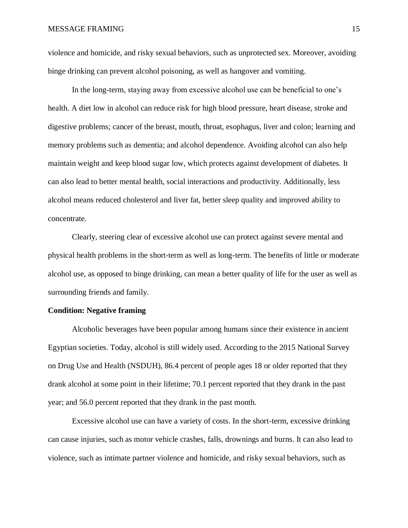violence and homicide, and risky sexual behaviors, such as unprotected sex. Moreover, avoiding binge drinking can prevent alcohol poisoning, as well as hangover and vomiting.

In the long-term, staying away from excessive alcohol use can be beneficial to one's health. A diet low in alcohol can reduce risk for high blood pressure, heart disease, stroke and digestive problems; cancer of the breast, mouth, throat, esophagus, liver and colon; learning and memory problems such as dementia; and alcohol dependence. Avoiding alcohol can also help maintain weight and keep blood sugar low, which protects against development of diabetes. It can also lead to better mental health, social interactions and productivity. Additionally, less alcohol means reduced cholesterol and liver fat, better sleep quality and improved ability to concentrate.

Clearly, steering clear of excessive alcohol use can protect against severe mental and physical health problems in the short-term as well as long-term. The benefits of little or moderate alcohol use, as opposed to binge drinking, can mean a better quality of life for the user as well as surrounding friends and family.

## **Condition: Negative framing**

Alcoholic beverages have been popular among humans since their existence in ancient Egyptian societies. Today, alcohol is still widely used. According to the 2015 National Survey on Drug Use and Health (NSDUH), 86.4 percent of people ages 18 or older reported that they drank alcohol at some point in their lifetime; 70.1 percent reported that they drank in the past year; and 56.0 percent reported that they drank in the past month.

Excessive alcohol use can have a variety of costs. In the short-term, excessive drinking can cause injuries, such as motor vehicle crashes, falls, drownings and burns. It can also lead to violence, such as intimate partner violence and homicide, and risky sexual behaviors, such as